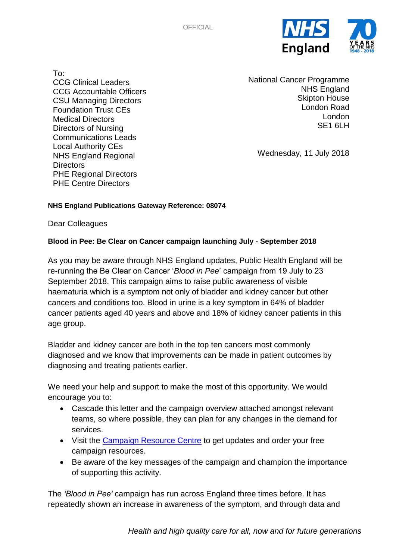

To: CCG Clinical Leaders CCG Accountable Officers CSU Managing Directors Foundation Trust CEs Medical Directors Directors of Nursing Communications Leads Local Authority CEs NHS England Regional **Directors** PHE Regional Directors PHE Centre Directors

National Cancer Programme NHS England Skipton House London Road London SF<sub>1</sub> 6LH

Wednesday, 11 July 2018

## **NHS England Publications Gateway Reference: 08074**

Dear Colleagues

## **Blood in Pee: Be Clear on Cancer campaign launching July - September 2018**

As you may be aware through NHS England updates, Public Health England will be re-running the Be Clear on Cancer '*Blood in Pee*' campaign from 19 July to 23 September 2018. This campaign aims to raise public awareness of visible haematuria which is a symptom not only of bladder and kidney cancer but other cancers and conditions too. Blood in urine is a key symptom in 64% of bladder cancer patients aged 40 years and above and 18% of kidney cancer patients in this age group.

Bladder and kidney cancer are both in the top ten cancers most commonly diagnosed and we know that improvements can be made in patient outcomes by diagnosing and treating patients earlier.

We need your help and support to make the most of this opportunity. We would encourage you to:

- Cascade this letter and the campaign overview attached amongst relevant teams, so where possible, they can plan for any changes in the demand for services.
- Visit the [Campaign Resource Centre](https://campaignresources.phe.gov.uk/resources/campaigns/43-blood-in-pee) to get updates and order your free campaign resources.
- Be aware of the key messages of the campaign and champion the importance of supporting this activity.

The *'Blood in Pee'* campaign has run across England three times before. It has repeatedly shown an increase in awareness of the symptom, and through data and